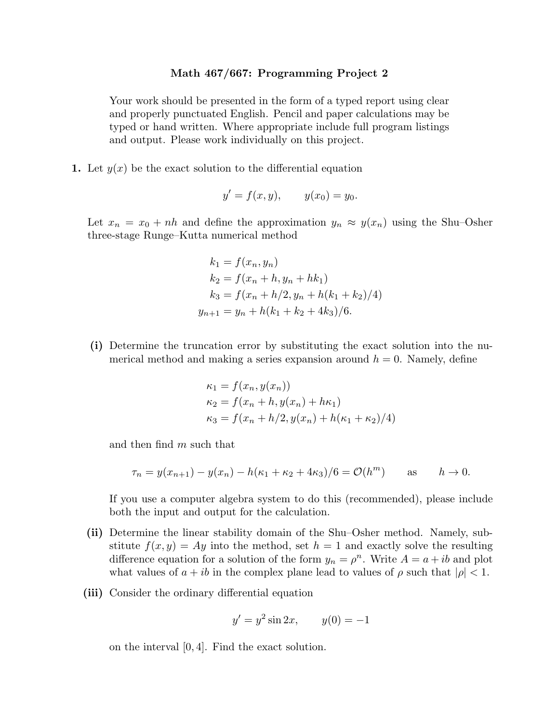## **Math 467/667: Programming Project 2**

Your work should be presented in the form of a typed report using clear and properly punctuated English. Pencil and paper calculations may be typed or hand written. Where appropriate include full program listings and output. Please work individually on this project.

**1.** Let *y*(*x*) be the exact solution to the differential equation

$$
y' = f(x, y),
$$
  $y(x_0) = y_0.$ 

Let  $x_n = x_0 + nh$  and define the approximation  $y_n \approx y(x_n)$  using the Shu-Osher three-stage Runge–Kutta numerical method

$$
k_1 = f(x_n, y_n)
$$
  
\n
$$
k_2 = f(x_n + h, y_n + hk_1)
$$
  
\n
$$
k_3 = f(x_n + h/2, y_n + h(k_1 + k_2)/4)
$$
  
\n
$$
y_{n+1} = y_n + h(k_1 + k_2 + 4k_3)/6.
$$

**(i)** Determine the truncation error by substituting the exact solution into the numerical method and making a series expansion around  $h = 0$ . Namely, define

$$
\kappa_1 = f(x_n, y(x_n))
$$
  
\n
$$
\kappa_2 = f(x_n + h, y(x_n) + h\kappa_1)
$$
  
\n
$$
\kappa_3 = f(x_n + h/2, y(x_n) + h(\kappa_1 + \kappa_2)/4)
$$

and then find *m* such that

$$
\tau_n = y(x_{n+1}) - y(x_n) - h(\kappa_1 + \kappa_2 + 4\kappa_3)/6 = \mathcal{O}(h^m)
$$
 as  $h \to 0$ .

If you use a computer algebra system to do this (recommended), please include both the input and output for the calculation.

- **(ii)** Determine the linear stability domain of the Shu–Osher method. Namely, substitute  $f(x, y) = Ay$  into the method, set  $h = 1$  and exactly solve the resulting difference equation for a solution of the form  $y_n = \rho^n$ . Write  $A = a + ib$  and plot what values of  $a + ib$  in the complex plane lead to values of  $\rho$  such that  $|\rho| < 1$ .
- **(iii)** Consider the ordinary differential equation

$$
y' = y^2 \sin 2x
$$
,  $y(0) = -1$ 

on the interval [0*,* 4]. Find the exact solution.